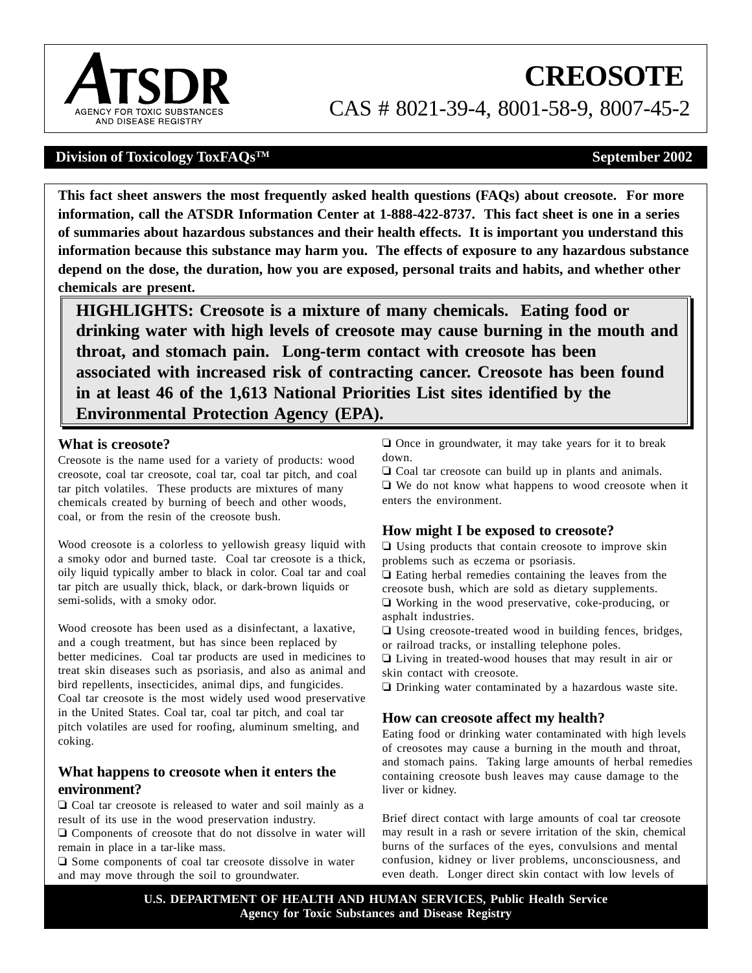

# **CREOSOTE**  CAS # 8021-39-4, 8001-58-9, 8007-45-2

## **Division of Toxicology ToxFAQs<sup>TM</sup>**  $\qquad$  **September 2002**

**This fact sheet answers the most frequently asked health questions (FAQs) about creosote. For more information, call the ATSDR Information Center at 1-888-422-8737. This fact sheet is one in a series of summaries about hazardous substances and their health effects. It is important you understand this information because this substance may harm you. The effects of exposure to any hazardous substance depend on the dose, the duration, how you are exposed, personal traits and habits, and whether other chemicals are present.** 

**HIGHLIGHTS: Creosote is a mixture of many chemicals. Eating food or drinking water with high levels of creosote may cause burning in the mouth and throat, and stomach pain. Long-term contact with creosote has been associated with increased risk of contracting cancer. Creosote has been found in at least 46 of the 1,613 National Priorities List sites identified by the Environmental Protection Agency (EPA).** 

#### **What is creosote?**

Creosote is the name used for a variety of products: wood creosote, coal tar creosote, coal tar, coal tar pitch, and coal tar pitch volatiles. These products are mixtures of many chemicals created by burning of beech and other woods, coal, or from the resin of the creosote bush.

Wood creosote is a colorless to yellowish greasy liquid with a smoky odor and burned taste. Coal tar creosote is a thick, oily liquid typically amber to black in color. Coal tar and coal tar pitch are usually thick, black, or dark-brown liquids or semi-solids, with a smoky odor.

Wood creosote has been used as a disinfectant, a laxative, and a cough treatment, but has since been replaced by better medicines. Coal tar products are used in medicines to treat skin diseases such as psoriasis, and also as animal and bird repellents, insecticides, animal dips, and fungicides. Coal tar creosote is the most widely used wood preservative in the United States. Coal tar, coal tar pitch, and coal tar pitch volatiles are used for roofing, aluminum smelting, and coking.

### **What happens to creosote when it enters the environment?**

 $\Box$  Coal tar creosote is released to water and soil mainly as a result of its use in the wood preservation industry.

 $\Box$  Components of creosote that do not dissolve in water will remain in place in a tar-like mass.

 $\Box$  Some components of coal tar creosote dissolve in water and may move through the soil to groundwater.

 $\Box$  Once in groundwater, it may take years for it to break down.

 $\Box$  Coal tar creosote can build up in plants and animals.  $\Box$  We do not know what happens to wood creosote when it enters the environment.

## **How might I be exposed to creosote?**

 $\Box$  Using products that contain creosote to improve skin problems such as eczema or psoriasis.

 $\Box$  Eating herbal remedies containing the leaves from the creosote bush, which are sold as dietary supplements.  $\Box$  Working in the wood preservative, coke-producing, or

asphalt industries.

 $\Box$  Using creosote-treated wood in building fences, bridges, or railroad tracks, or installing telephone poles.

 $\Box$  Living in treated-wood houses that may result in air or skin contact with creosote.

 $\Box$  Drinking water contaminated by a hazardous waste site.

## **How can creosote affect my health?**

Eating food or drinking water contaminated with high levels of creosotes may cause a burning in the mouth and throat, and stomach pains. Taking large amounts of herbal remedies containing creosote bush leaves may cause damage to the liver or kidney.

Brief direct contact with large amounts of coal tar creosote may result in a rash or severe irritation of the skin, chemical burns of the surfaces of the eyes, convulsions and mental confusion, kidney or liver problems, unconsciousness, and even death. Longer direct skin contact with low levels of